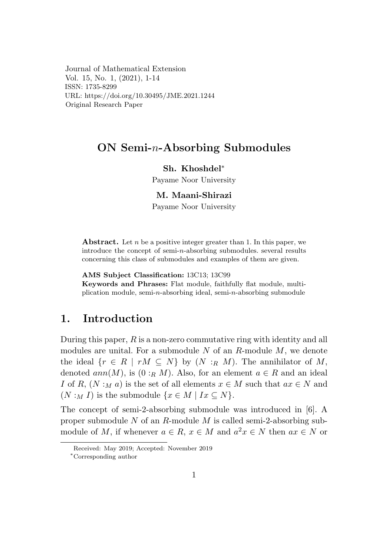Journal of Mathematical Extension Vol. 15, No. 1, (2021), 1-14 ISSN: 1735-8299 URL: https://doi.org/10.30495/JME.2021.1244 Original Research Paper

## $ON$  Semi-n-Absorbing Submodules

### Sh. Khoshdel\*

Payame Noor University

#### M. Maani-Shirazi

Payame Noor University

**Abstract.** Let n be a positive integer greater than 1. In this paper, we introduce the concept of semi- $n$ -absorbing submodules. several results concerning this class of submodules and examples of them are given.

AMS Subject Classification: 13C13; 13C99

Keywords and Phrases: Flat module, faithfully flat module, multiplication module, semi- $n$ -absorbing ideal, semi- $n$ -absorbing submodule

#### 1. Introduction

During this paper,  $R$  is a non-zero commutative ring with identity and all modules are unital. For a submodule  $N$  of an  $R$ -module  $M$ , we denote the ideal  $\{r \in R \mid rM \subseteq N\}$  by  $(N :_R M)$ . The annihilator of M, denoted  $ann(M)$ , is  $(0:_{R} M)$ . Also, for an element  $a \in R$  and an ideal I of R,  $(N :_M a)$  is the set of all elements  $x \in M$  such that  $ax \in N$  and  $(N:_{M} I)$  is the submodule  $\{x \in M \mid Ix \subseteq N\}.$ 

The concept of semi-2-absorbing submodule was introduced in [6]. A proper submodule  $N$  of an  $R$ -module  $M$  is called semi-2-absorbing submodule of M, if whenever  $a \in R$ ,  $x \in M$  and  $a^2x \in N$  then  $ax \in N$  or

Received: May 2019; Accepted: November 2019

<sup>\*</sup>Corresponding author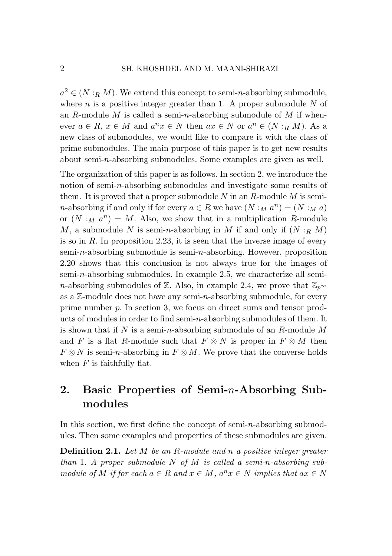$a^2 \in (N : R M)$ . We extend this concept to semi-*n*-absorbing submodule, where *n* is a positive integer greater than 1. A proper submodule *N* of an *R*-module *M* is called a semi-*n*-absorbing submodule of *M* if whenever  $a \in R$ ,  $x \in M$  and  $a^n x \in N$  then  $ax \in N$  or  $a^n \in (N : R M)$ . As a new class of submodules, we would like to compare it with the class of prime submodules. The main purpose of this paper is to get new results about semi-*n*-absorbing submodules. Some examples are given as well.

The organization of this paper is as follows. In section 2, we introduce the notion of semi-*n*-absorbing submodules and investigate some results of them. It is proved that a proper submodule *N* in an *R*-module *M* is semi*n*-absorbing if and only if for every  $a \in R$  we have  $(N :_M a^n) = (N :_M a)$ or  $(N : M a^n) = M$ . Also, we show that in a multiplication *R*-module *M*, a submodule *N* is semi-*n*-absorbing in *M* if and only if  $(N : R M)$ is so in *R*. In proposition 2*.*23, it is seen that the inverse image of every semi-*n*-absorbing submodule is semi-*n*-absorbing. However, proposition 2*.*20 shows that this conclusion is not always true for the images of semi-*n*-absorbing submodules. In example 2*.*5, we characterize all semi*n*-absorbing submodules of  $\mathbb{Z}$ . Also, in example 2.4, we prove that  $\mathbb{Z}_{p^{\infty}}$ as a Z-module does not have any semi-*n*-absorbing submodule, for every prime number *p*. In section 3, we focus on direct sums and tensor products of modules in order to find semi-*n*-absorbing submodules of them. It is shown that if *N* is a semi-*n*-absorbing submodule of an *R*-module *M* and *F* is a flat *R*-module such that  $F \otimes N$  is proper in  $F \otimes M$  then  $F \otimes N$  is semi-*n*-absorbing in  $F \otimes M$ . We prove that the converse holds when  $F$  is faithfully flat.

# 2. Basic Properties of Semi-*n*-Absorbing Submodules

In this section, we first define the concept of semi-*n*-absorbing submodules. Then some examples and properties of these submodules are given.

Definition 2.1. *Let M be an R-module and n a positive integer greater than* 1*. A proper submodule N of M is called a semi-n-absorbing submodule of*  $M$  *if for each*  $a \in R$  *and*  $x \in M$ *,*  $a^n x \in N$  *implies that*  $ax \in N$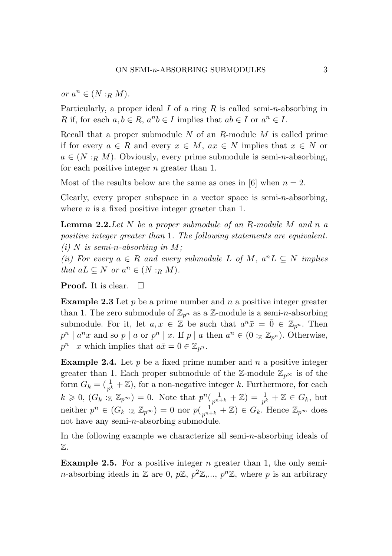$or$   $a^n \in (N : R M)$ .

Particularly, a proper ideal *I* of a ring *R* is called semi-*n*-absorbing in *R* if, for each  $a, b \in R$ ,  $a^n b \in I$  implies that  $ab \in I$  or  $a^n \in I$ .

Recall that a proper submodule *N* of an *R*-module *M* is called prime if for every  $a \in R$  and every  $x \in M$ ,  $ax \in N$  implies that  $x \in N$  or  $a \in (N : R M)$ . Obviously, every prime submodule is semi-*n*-absorbing, for each positive integer *n* greater than 1.

Most of the results below are the same as ones in [6] when  $n = 2$ .

Clearly, every proper subspace in a vector space is semi-*n*-absorbing, where *n* is a fixed positive integer graeter than 1.

Lemma 2.2.*Let N be a proper submodule of an R-module M and n a positive integer greater than* 1*. The following statements are equivalent.*  $(i)$  *N* is semi-*n*-absorbing in *M*;

*(ii)* For every  $a \in R$  and every submodule  $L$  of  $M$ ,  $a^n L ⊂ N$  implies *that*  $aL \subseteq N$  *or*  $a^n \in (N : R M)$ *.* 

**Proof.** It is clear.  $\Box$ 

Example 2.3 Let *p* be a prime number and *n* a positive integer greater than 1. The zero submodule of  $\mathbb{Z}_{p^n}$  as a  $\mathbb{Z}$ -module is a semi-*n*-absorbing submodule. For it, let  $a, x \in \mathbb{Z}$  be such that  $a^n \bar{x} = \bar{0} \in \mathbb{Z}_{p^n}$ . Then  $p^n \mid a^n x$  and so  $p \mid a$  or  $p^n \mid x$ . If  $p \mid a$  then  $a^n \in (0 : \mathbb{Z} \mathbb{Z}_{p^n})$ . Otherwise,  $p^{n}$  | *x* which implies that  $a\bar{x} = \bar{0} \in \mathbb{Z}_{p^{n}}$ .

Example 2.4. Let *p* be a fixed prime number and *n* a positive integer greater than 1. Each proper submodule of the  $\mathbb{Z}$ -module  $\mathbb{Z}_{p^{\infty}}$  is of the form  $G_k = (\frac{1}{p^k} + \mathbb{Z})$ , for a non-negative integer *k*. Furthermore, for each  $k \geq 0$ ,  $(G_k : \mathbb{Z} \mathbb{Z}_{p^\infty}) = 0$ . Note that  $p^n(\frac{1}{p^{n+k}} + \mathbb{Z}) = \frac{1}{p^k} + \mathbb{Z} \in G_k$ , but neither  $p^n \in (G_k : \mathbb{Z} \mathbb{Z}_{p^\infty}) = 0$  nor  $p(\frac{1}{p^{n+k}} + \mathbb{Z}) \in G_k$ . Hence  $\mathbb{Z}_{p^\infty}$  does not have any semi-*n*-absorbing submodule.

In the following example we characterize all semi-*n*-absorbing ideals of Z.

Example 2.5. For a positive integer *n* greater than 1, the only semi*n*-absorbing ideals in Z are 0,  $p\mathbb{Z}, p^2\mathbb{Z},..., p^n\mathbb{Z}$ , where p is an arbitrary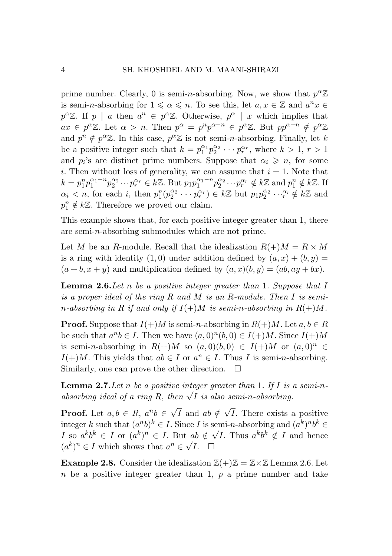prime number. Clearly, 0 is semi-*n*-absorbing. Now, we show that  $p^{\alpha}\mathbb{Z}$ is semi-*n*-absorbing for  $1 \leq a \leq n$ . To see this, let  $a, x \in \mathbb{Z}$  and  $a^n x \in$  $p^{\alpha} \mathbb{Z}$ . If *p | a* then  $a^n \in p^{\alpha} \mathbb{Z}$ . Otherwise,  $p^{\alpha}$  *| x* which implies that  $ax \in p^{\alpha} \mathbb{Z}$ . Let  $\alpha > n$ . Then  $p^{\alpha} = p^{n} p^{\alpha-n} \in p^{\alpha} \mathbb{Z}$ . But  $pp^{\alpha-n} \notin p^{\alpha} \mathbb{Z}$ and  $p^n \notin p^\alpha \mathbb{Z}$ . In this case,  $p^\alpha \mathbb{Z}$  is not semi-*n*-absorbing. Finally, let *k* be a positive integer such that  $k = p_1^{\alpha_1} p_2^{\alpha_2} \cdots p_r^{\alpha_r}$ , where  $k > 1, r > 1$ and  $p_i$ 's are distinct prime numbers. Suppose that  $\alpha_i \geq n$ , for some *i*. Then without loss of generality, we can assume that  $i = 1$ . Note that  $k = p_1^n p_1^{\alpha_1 - n} p_2^{\alpha_2} \cdots p_r^{\alpha_r} \in k\mathbb{Z}$ . But  $p_1 p_1^{\alpha_1 - n} p_2^{\alpha_2} \cdots p_r^{\alpha_r} \notin k\mathbb{Z}$  and  $p_1^n \notin k\mathbb{Z}$ . If  $\alpha_i < n$ , for each i, then  $p_1^n(p_2^{\alpha_2} \cdots p_r^{\alpha_r}) \in k\mathbb{Z}$  but  $p_1p_2^{\alpha_2} \cdots p_r^{\alpha_r} \notin k\mathbb{Z}$  and  $p_1^n \notin k\mathbb{Z}$ . Therefore we proved our claim.

This example shows that, for each positive integer greater than 1, there are semi-*n*-absorbing submodules which are not prime.

Let *M* be an *R*-module. Recall that the idealization  $R(+)M = R \times M$ is a ring with identity  $(1,0)$  under addition defined by  $(a, x) + (b, y) =$  $(a + b, x + y)$  and multiplication defined by  $(a, x)(b, y) = (ab, ay + bx)$ .

Lemma 2.6.*Let n be a positive integer greater than* 1*. Suppose that I is a proper ideal of the ring R and M is an R-module. Then I is semin*-absorbing in R if and only if  $I(+)M$  is semi-*n*-absorbing in  $R(+)M$ .

**Proof.** Suppose that  $I(+)M$  is semi-*n*-absorbing in  $R(+)M$ . Let  $a, b \in R$ be such that  $a^n b \in I$ . Then we have  $(a, 0)^n (b, 0) \in I(+)M$ . Since  $I(+)M$ is semi-*n*-absorbing in  $R(+)M$  so  $(a, 0)(b, 0) \in I(+)M$  or  $(a, 0)^n \in I$ *I*(+)*M*. This yields that  $ab \in I$  or  $a^n \in I$ . Thus *I* is semi-*n*-absorbing. Similarly, one can prove the other direction.  $\Box$ Similarly, one can prove the other direction.

Lemma 2.7.*Let n be a positive integer greater than* 1*. If I is a semi-nabsorbing ideal of a ring*  $\overline{R}$ *, then*  $\sqrt{\overline{I}}$  *is also semi-n-absorbing.* 

**Proof.** Let  $a, b \in R$ ,  $a^n b \in \sqrt{I}$  and  $ab \notin \sqrt{I}$ . There exists a positive integer *k* such that  $(a^n b)^k \in I$ . Since *I* is semi-*n*-absorbing and  $(a^k)^n b^k \in I$ . I so  $a^k b^k \in I$  or  $(a^k)^n \in I$ . But  $ab \notin \sqrt{I}$ . Thus  $a^k b^k \notin I$  and hence  $(a^k)^n \in I$  which shows that  $a^n \in \sqrt{I}$ .

**Example 2.8.** Consider the idealization  $\mathbb{Z}(+) \mathbb{Z} = \mathbb{Z} \times \mathbb{Z}$  Lemma 2.6. Let *n* be a positive integer greater than 1, *p* a prime number and take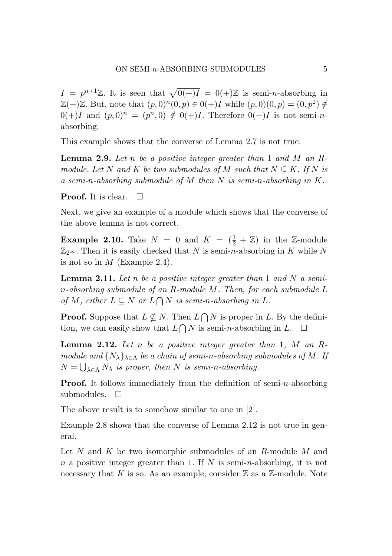$I = p^{n+1}\mathbb{Z}$ . It is seen that  $\sqrt{0(+)I} = 0(+) \mathbb{Z}$  is semi-*n*-absorbing in  $\mathbb{Z}(+) \mathbb{Z}$ . But, note that  $(p,0)^n (0,p) \in 0(+)I$  while  $(p,0)(0,p) = (0,p^2) \notin$ 0(+)*I* and  $(p,0)^n = (p^n,0) \notin 0(+)I$ . Therefore  $0(+)I$  is not semi-*n*absorbing.

This example shows that the converse of Lemma 2.7 is not true.

Lemma 2.9. *Let n be a positive integer greater than* 1 *and M an Rmodule. Let*  $N$  *and*  $K$  *be two submodules of*  $M$  *such that*  $N \subseteq K$ *. If*  $N$  *is a semi-n-absorbing submodule of M then N is semi-n-absorbing in K.*

**Proof.** It is clear.  $\Box$ 

Next, we give an example of a module which shows that the converse of the above lemma is not correct.

**Example 2.10.** Take  $N = 0$  and  $K = (\frac{1}{2} + \mathbb{Z})$  in the Z-module  $\mathbb{Z}_{2^{\infty}}$ . Then it is easily checked that *N* is semi-*n*-absorbing in *K* while *N* is not so in *M* (Example 2.4).

Lemma 2.11. *Let n be a positive integer greater than* 1 *and N a semin-absorbing submodule of an R-module M. Then, for each submodule L of*  $M$ *, either*  $L \subseteq N$  *or*  $L \cap N$  *is semi-n-absorbing in*  $L$ *.* 

**Proof.** Suppose that  $L \nsubseteq N$ . Then  $L \cap N$  is proper in *L*. By the definition, we can easily show that  $L \bigcap N$  is semi-*n*-absorbing in  $L$ .  $\square$ 

Lemma 2.12. *Let n be a positive integer greater than* 1*, M an Rmodule and*  $\{N_{\lambda}\}_{{\lambda \in \Lambda}}$  *be a chain of semi-n-absorbing submodules of M. If*  $N = \bigcup_{\lambda \in \Lambda} N_{\lambda}$  *is proper, then N is semi-n-absorbing.* 

Proof. It follows immediately from the definition of semi-*n*-absorbing submodules.  $\square$ 

The above result is to somehow similar to one in [2].

Example 2.8 shows that the converse of Lemma 2.12 is not true in general.

Let *N* and *K* be two isomorphic submodules of an *R*-module *M* and *n* a positive integer greater than 1. If *N* is semi-*n*-absorbing, it is not necessary that  $K$  is so. As an example, consider  $\mathbb Z$  as a  $\mathbb Z$ -module. Note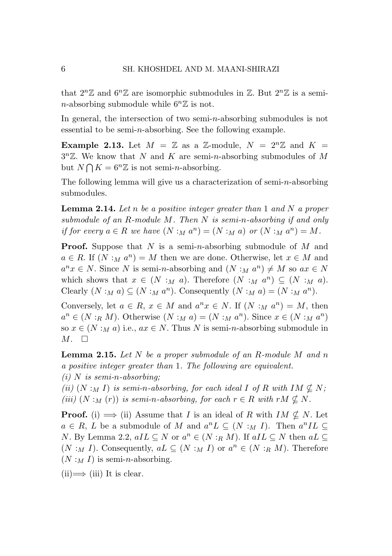that  $2^n\mathbb{Z}$  and  $6^n\mathbb{Z}$  are isomorphic submodules in  $\mathbb{Z}$ . But  $2^n\mathbb{Z}$  is a semi*n*-absorbing submodule while  $6^n\mathbb{Z}$  is not.

In general, the intersection of two semi-*n*-absorbing submodules is not essential to be semi-*n*-absorbing. See the following example.

**Example 2.13.** Let  $M = \mathbb{Z}$  as a  $\mathbb{Z}$ -module,  $N = 2^n \mathbb{Z}$  and  $K =$ 3*n*Z. We know that *N* and *K* are semi-*n*-absorbing submodules of *M* but  $N \bigcap K = 6^n \mathbb{Z}$  is not semi-*n*-absorbing.

The following lemma will give us a characterization of semi-*n*-absorbing submodules.

Lemma 2.14. *Let n be a positive integer greater than* 1 *and N a proper submodule of an R-module M. Then N is semi-n-absorbing if and only if for every*  $a \in R$  *we have*  $(N : M a^n) = (N : M a)$  *or*  $(N : M a^n) = M$ .

Proof. Suppose that *N* is a semi-*n*-absorbing submodule of *M* and  $a \in R$ . If  $(N : M a^n) = M$  then we are done. Otherwise, let  $x \in M$  and  $a^n x \in N$ . Since *N* is semi-*n*-absorbing and  $(N : M a^n) \neq M$  so  $ax \in N$ which shows that  $x \in (N :_M a)$ . Therefore  $(N :_M a^n) \subseteq (N :_M a)$ . Clearly  $(N : M a) \subseteq (N : M a^n)$ . Consequently  $(N : M a) = (N : M a^n)$ .

Conversely, let  $a \in R$ ,  $x \in M$  and  $a^n x \in N$ . If  $(N : M a^n) = M$ , then  $a^n \in (N : R M)$ . Otherwise  $(N : M a) = (N : M a^n)$ . Since  $x \in (N : M a^n)$ so  $x \in (N :_M a)$  i.e.,  $ax \in N$ . Thus N is semi-*n*-absorbing submodule in  $M. \square$ 

Lemma 2.15. *Let N be a proper submodule of an R-module M and n a positive integer greater than* 1*. The following are equivalent.*

*(i) N is semi-n-absorbing;*

*(ii)*  $(N : M I)$  *is semi-n-absorbing, for each ideal I of R with*  $IM \nsubseteq N$ ; *(iii)*  $(N : M(r))$  *is semi-n-absorbing, for each*  $r \in R$  *with*  $rM \nsubseteq N$ .

**Proof.** (i)  $\implies$  (ii) Assume that *I* is an ideal of *R* with  $IM \nsubseteq N$ . Let  $a \in R$ , *L* be a submodule of *M* and  $a^n L \subseteq (N : M I)$ . Then  $a^n IL \subseteq$ *N*. By Lemma 2.2,  $aIL \subseteq N$  or  $a^n \in (N : R M)$ . If  $aIL \subseteq N$  then  $aL \subseteq$  $(N : M I)$ . Consequently,  $aL \subseteq (N : M I)$  or  $a^n \in (N : R M)$ . Therefore  $(N :_M I)$  is semi-*n*-absorbing.

 $(ii) \Longrightarrow (iii)$  It is clear.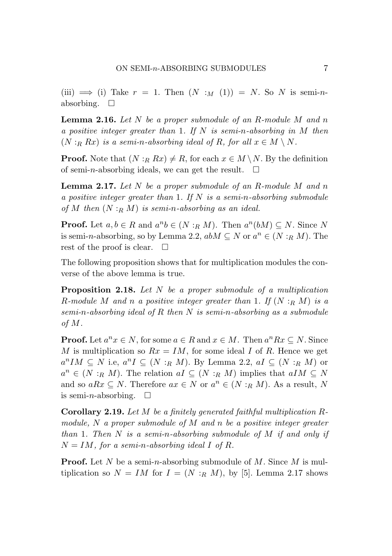$(iii) \implies (i)$  Take  $r = 1$ . Then  $(N : M(1)) = N$ . So N is semi-*n*absorbing.  $\square$ 

Lemma 2.16. *Let N be a proper submodule of an R-module M and n a positive integer greater than* 1*. If N is semi-n-absorbing in M then*  $(N:_{R} Rx)$  *is a semi-n-absorbing ideal of*  $R$ *, for all*  $x \in M \setminus N$ *.* 

**Proof.** Note that  $(N : R R x) \neq R$ , for each  $x \in M \setminus N$ . By the definition of semi-*n*-absorbing ideals, we can get the result.  $\square$ 

Lemma 2.17. *Let N be a proper submodule of an R-module M and n a positive integer greater than* 1*. If N is a semi-n-absorbing submodule of M then* (*N* :*<sup>R</sup> M*) *is semi-n-absorbing as an ideal.*

**Proof.** Let  $a, b \in R$  and  $a^n b \in (N :_R M)$ . Then  $a^n(bM) \subseteq N$ . Since N is semi-*n*-absorbing, so by Lemma 2.2,  $abM \subseteq N$  or  $a^n \in (N :_R M)$ . The rest of the proof is clear.  $\square$ 

The following proposition shows that for multiplication modules the converse of the above lemma is true.

Proposition 2.18. *Let N be a proper submodule of a multiplication R-module M and n a positive integer greater than* 1*. If* (*N* :*<sup>R</sup> M*) *is a semi-n-absorbing ideal of R then N is semi-n-absorbing as a submodule of M.*

**Proof.** Let  $a^n x \in N$ , for some  $a \in R$  and  $x \in M$ . Then  $a^n R x \subseteq N$ . Since *M* is multiplication so  $Rx = IM$ , for some ideal *I* of *R*. Hence we get  $a^nIM \subseteq N$  i.e,  $a^nI \subseteq (N :_R M)$ . By Lemma 2.2,  $aI \subseteq (N :_R M)$  or  $a^n \in (N : R M)$ . The relation  $aI \subseteq (N : R M)$  implies that  $aIM \subseteq N$ and so  $aRx \subseteq N$ . Therefore  $ax \in N$  or  $a^n \in (N : R M)$ . As a result, N is semi-*n*-absorbing.  $\square$ 

Corollary 2.19. *Let M be a finitely generated faithful multiplication Rmodule, N a proper submodule of M and n be a positive integer greater than* 1*. Then N is a semi-n-absorbing submodule of M if and only if*  $N = IM$ , for a semi-n-absorbing ideal *I* of *R*.

Proof. Let *N* be a semi-*n*-absorbing submodule of *M*. Since *M* is multiplication so  $N = IM$  for  $I = (N : R M)$ , by [5]. Lemma 2.17 shows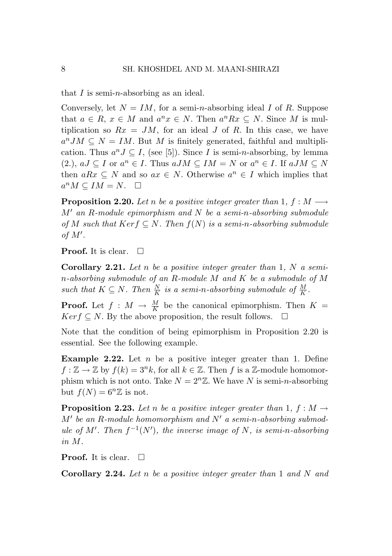that *I* is semi-*n*-absorbing as an ideal.

Conversely, let  $N = IM$ , for a semi-*n*-absorbing ideal *I* of *R*. Suppose that  $a \in R$ ,  $x \in M$  and  $a^n x \in N$ . Then  $a^n R x \subseteq N$ . Since M is multiplication so  $Rx = JM$ , for an ideal *J* of *R*. In this case, we have  $a^nJM \subseteq N = IM$ . But *M* is finitely generated, faithful and multiplication. Thus  $a^n J \subseteq I$ , (see [5]). Since *I* is semi-*n*-absorbing, by lemma  $(2.)$ ,  $aJ \subseteq I$  or  $a^n \in I$ . Thus  $aJM \subseteq IM = N$  or  $a^n \in I$ . If  $aJM \subseteq N$ then  $aRx \subseteq N$  and so  $ax \in N$ . Otherwise  $a^n \in I$  which implies that  $a^n M \subseteq IM = N$ .  $\square$ 

**Proposition 2.20.** Let *n* be a positive integer greater than 1,  $f : M \longrightarrow$ *M an R-module epimorphism and N be a semi-n-absorbing submodule of M such that*  $Ker f ⊆ N$ *. Then*  $f(N)$  *is a semi-n-absorbing submodule of M .*

**Proof.** It is clear.  $\Box$ 

Corollary 2.21. *Let n be a positive integer greater than* 1*, N a semin-absorbing submodule of an R-module M and K be a submodule of M such that*  $K \subseteq N$ *. Then*  $\frac{N}{K}$  *is a semi-n-absorbing submodule of*  $\frac{M}{K}$ *.* 

**Proof.** Let  $f : M \to \frac{M}{K}$  be the canonical epimorphism. Then  $K =$  $Ker f \subseteq N$ . By the above proposition, the result follows.

Note that the condition of being epimorphism in Proposition 2.20 is essential. See the following example.

**Example 2.22.** Let *n* be a positive integer greater than 1. Define  $f: \mathbb{Z} \to \mathbb{Z}$  by  $f(k) = 3^n k$ , for all  $k \in \mathbb{Z}$ . Then *f* is a  $\mathbb{Z}$ -module homomorphism which is not onto. Take  $N = 2^n \mathbb{Z}$ . We have N is semi-*n*-absorbing but  $f(N) = 6^n \mathbb{Z}$  is not.

**Proposition 2.23.** Let *n* be a positive integer greater than 1,  $f : M \rightarrow$  $M'$  *be an*  $R$ *-module homomorphism and*  $N'$  *a semi-n-absorbing submodule of*  $M'$ *. Then*  $f^{-1}(N')$ *, the inverse image of*  $N$ *, is semi-n-absorbing in M.*

**Proof.** It is clear.  $\Box$ 

Corollary 2.24. *Let n be a positive integer greater than* 1 *and N and*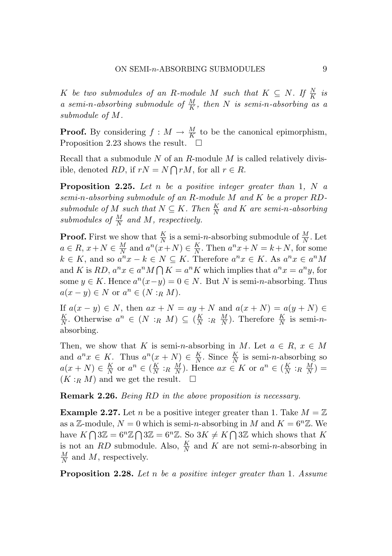*K be two submodules of an R-module M such that*  $K \subseteq N$ *. If*  $\frac{N}{K}$  *is a semi-n-absorbing submodule of*  $\frac{M}{K}$ *, then N is semi-n-absorbing as a submodule of M.*

**Proof.** By considering  $f : M \to \frac{M}{K}$  to be the canonical epimorphism, Proposition 2.23 shows the result.  $\square$ 

Recall that a submodule *N* of an *R*-module *M* is called relatively divisible, denoted *RD*, if  $rN = N \bigcap rM$ , for all  $r \in R$ .

Proposition 2.25. *Let n be a positive integer greater than* 1*, N a semi-n-absorbing submodule of an R-module M and K be a proper RDsubmodule of*  $M$  *such that*  $N \subseteq K$ *. Then*  $\frac{K}{N}$  *and*  $K$  *are semi-n-absorbing* submodules of  $\frac{M}{N}$  and M, respectively.

**Proof.** First we show that  $\frac{K}{N}$  is a semi-*n*-absorbing submodule of  $\frac{M}{N}$ . Let  $a \in R$ ,  $x + N \in \frac{M}{N}$  and  $a^n(x+N) \in \frac{K}{N}$ . Then  $a^n x + N = k + N$ , for some  $k \in K$ , and so  $a^n x - k \in N \subseteq K$ . Therefore  $a^n x \in K$ . As  $a^n x \in a^n M$ and *K* is *RD*,  $a^n x \in a^n M \cap K = a^n K$  which implies that  $a^n x = a^n y$ , for some  $y \in K$ . Hence  $a^n(x-y) = 0 \in N$ . But *N* is semi-*n*-absorbing. Thus  $a(x - y) \in N$  or  $a^n \in (N : R M)$ .

If  $a(x - y) \in N$ , then  $ax + N = ay + N$  and  $a(x + N) = a(y + N)$  ∈ *K <sup>N</sup>* . Otherwise *<sup>a</sup><sup>n</sup> <sup>∈</sup>* (*<sup>N</sup>* :*<sup>R</sup> <sup>M</sup>*) *<sup>⊆</sup>* ( *<sup>K</sup> <sup>N</sup>* :*<sup>R</sup> M <sup>N</sup>* ). Therefore *<sup>K</sup> <sup>N</sup>* is semi-*n*absorbing.

Then, we show that *K* is semi-*n*-absorbing in *M*. Let  $a \in R$ ,  $x \in M$ and  $a^n x \in K$ . Thus  $a^n(x + N) \in \frac{K}{N}$ . Since  $\frac{K}{N}$  is semi-*n*-absorbing so  $a(x+N) \in \frac{K}{N}$  or  $a^n \in (\frac{K}{N} :_R \frac{M}{N})$ . Hence  $ax \in K$  or  $a^n \in (\frac{K}{N} :_R \frac{M}{N})$  $(K:_{R} M)$  and we get the result.  $\square$ 

Remark 2.26. *Being RD in the above proposition is necessary.*

**Example 2.27.** Let *n* be a positive integer greater than 1. Take  $M = \mathbb{Z}$ as a  $\mathbb{Z}$ -module,  $N = 0$  which is semi-*n*-absorbing in *M* and  $K = 6^n \mathbb{Z}$ . We have  $K \bigcap 3\mathbb{Z} = 6^n \mathbb{Z} \bigcap 3\mathbb{Z} = 6^n \mathbb{Z}$ . So  $3K \neq K \bigcap 3\mathbb{Z}$  which shows that *K* is not an *RD* submodule. Also,  $\frac{K}{N}$  and *K* are not semi-*n*-absorbing in  $\frac{M}{N}$  and *M*, respectively.

Proposition 2.28. *Let n be a positive integer greater than* 1*. Assume*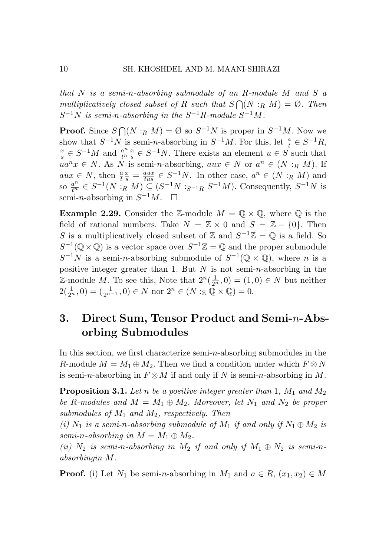*that N is a semi-n-absorbing submodule of an R-module M and S a multiplicatively closed subset of R such that*  $S \cap (N : R M) = \emptyset$ . Then  $S^{-1}N$  *is semi-n-absorbing in the*  $S^{-1}R$ *-module*  $S^{-1}M$ *.* 

**Proof.** Since *S*  $\bigcap (N : R M) = \emptyset$  so *S*<sup>−1</sup>*N* is proper in *S*<sup>−1</sup>*M*. Now we show that  $S^{-1}N$  is semi-*n*-absorbing in  $S^{-1}M$ . For this, let  $\frac{a}{t} \in S^{-1}R$ ,  $\frac{a}{t} \in S^{-1}M$  and  $\frac{a^n}{t} \in S^{-1}N$ . There exists an element  $y \in S$  such that  $\frac{x}{s} \in S^{-1}M$  and  $\frac{a^n}{t^n} \frac{x}{s} \in S^{-1}N$ . There exists an element  $u \in S$  such that  $ua^n x \in N$ . As *N* is semi-*n*-absorbing,  $aux \in N$  or  $a^n \in (N : R M)$ . If  $aux \in N$ , then  $\frac{a}{t}$  $\frac{x}{s} = \frac{aux}{tus} \in S^{-1}N$ . In other case,  $a^n \in (N : R M)$  and so  $\frac{a^n}{t^n} \in S^{-1}(N : R M) \subseteq (S^{-1}N :_{S^{-1}R} S^{-1}M)$ . Consequently,  $S^{-1}N$  is semi-*n*-absorbing in  $S^{-1}M$ . □

**Example 2.29.** Consider the Z-module  $M = \mathbb{Q} \times \mathbb{Q}$ , where  $\mathbb{Q}$  is the field of rational numbers. Take  $N = \mathbb{Z} \times 0$  and  $S = \mathbb{Z} - \{0\}$ . Then *S* is a multiplicatively closed subset of  $\mathbb{Z}$  and  $S^{-1}\mathbb{Z} = \mathbb{Q}$  is a field. So  $S^{-1}(\mathbb{Q}\times\mathbb{Q})$  is a vector space over  $S^{-1}\mathbb{Z}=\mathbb{Q}$  and the proper submodule  $S^{-1}N$  is a semi-*n*-absorbing submodule of  $S^{-1}(\mathbb{Q}\times\mathbb{Q})$ , where *n* is a positive integer greater than 1. But *N* is not semi-*n*-absorbing in the  $\mathbb{Z}$ -module *M*. To see this, Note that  $2^n(\frac{1}{2^n},0) = (1,0) \in N$  but neither  $2(\frac{1}{2^n}, 0) = (\frac{1}{2^{n-1}}, 0) \in N \text{ nor } 2^n \in (N : \mathbb{Z} \mathbb{Q} \times \mathbb{Q}) = 0.$ 

# 3. Direct Sum, Tensor Product and Semi-*n*-Absorbing Submodules

In this section, we first characterize semi-*n*-absorbing submodules in the *R*-module  $M = M_1 \oplus M_2$ . Then we find a condition under which  $F \otimes N$ is semi-*n*-absorbing in  $F \otimes M$  if and only if *N* is semi-*n*-absorbing in *M*.

Proposition 3.1. *Let n be a positive integer greater than* 1*, M*<sup>1</sup> *and M*<sup>2</sup> *be R*-modules and  $M = M_1 \oplus M_2$ . Moreover, let  $N_1$  and  $N_2$  be proper *submodules of M*<sup>1</sup> *and M*2*, respectively. Then*

(*i*)  $N_1$  *is a semi-n-absorbing submodule of*  $M_1$  *if and only if*  $N_1 \oplus M_2$  *is semi-n-absorbing in*  $M = M_1 \oplus M_2$ .

*(ii)*  $N_2$  *is semi-n-absorbing in*  $M_2$  *if and only if*  $M_1 \oplus N_2$  *is semi-nabsorbingin M.*

**Proof.** (i) Let  $N_1$  be semi-*n*-absorbing in  $M_1$  and  $a \in R$ ,  $(x_1, x_2) \in M$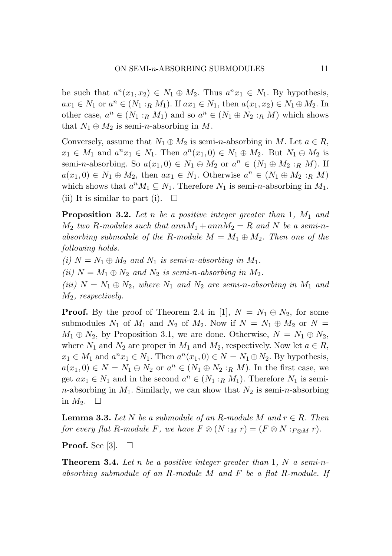be such that  $a^n(x_1, x_2) \in N_1 \oplus M_2$ . Thus  $a^n x_1 \in N_1$ . By hypothesis, *ax*<sub>1</sub> ∈ *N*<sub>1</sub> or *a*<sup>*n*</sup> ∈ (*N*<sub>1</sub> :*R M*<sub>1</sub>). If  $ax_1 \in N_1$ , then  $a(x_1, x_2) \in N_1 \oplus M_2$ . In other case,  $a^n \in (N_1 : R M_1)$  and so  $a^n \in (N_1 \oplus N_2 : R M)$  which shows that  $N_1 \oplus M_2$  is semi-*n*-absorbing in M.

Conversely, assume that  $N_1 \oplus M_2$  is semi-*n*-absorbing in *M*. Let  $a \in R$ ,  $x_1 \in M_1$  and  $a^n x_1 \in N_1$ . Then  $a^n(x_1, 0) \in N_1 \oplus M_2$ . But  $N_1 \oplus M_2$  is semi-*n*-absorbing. So  $a(x_1, 0) \in N_1 \oplus M_2$  or  $a^n \in (N_1 \oplus M_2 : R M)$ . If *a*(*x*<sub>1</sub>,0)  $\in$  *N*<sub>1</sub>  $\oplus$  *M*<sub>2</sub>, then *ax*<sub>1</sub>  $\in$  *N*<sub>1</sub>. Otherwise *a<sup>n</sup>*  $\in$  (*N*<sub>1</sub>  $\oplus$  *M*<sub>2</sub> :*R M*) which shows that  $a^n M_1 \subseteq N_1$ . Therefore  $N_1$  is semi-*n*-absorbing in  $M_1$ . (ii) It is similar to part (i).  $\Box$ 

Proposition 3.2. *Let n be a positive integer greater than* 1*, M*<sup>1</sup> *and*  $M_2$  *two R-modules such that*  $annM_1 + annM_2 = R$  *and N be a semi-nabsorbing submodule of the R-module*  $M = M_1 \oplus M_2$ . Then one of the *following holds.*

 $(i)$   $N = N_1 \oplus M_2$  and  $N_1$  *is semi-n-absorbing in*  $M_1$ . *(ii)*  $N = M_1 \oplus N_2$  *and*  $N_2$  *is semi-n-absorbing in*  $M_2$ *.*  $(iii)$   $N = N_1 \oplus N_2$ , where  $N_1$  and  $N_2$  are semi-*n*-absorbing in  $M_1$  and *M*2*, respectively.*

**Proof.** By the proof of Theorem 2.4 in [1],  $N = N_1 \oplus N_2$ , for some submodules  $N_1$  of  $M_1$  and  $N_2$  of  $M_2$ . Now if  $N = N_1 \oplus M_2$  or  $N =$  $M_1 \oplus N_2$ , by Proposition 3.1, we are done. Otherwise,  $N = N_1 \oplus N_2$ , where  $N_1$  and  $N_2$  are proper in  $M_1$  and  $M_2$ , respectively. Now let  $a \in R$ ,  $x_1 \in M_1$  and  $a^n x_1 \in N_1$ . Then  $a^n(x_1, 0) \in N = N_1 \oplus N_2$ . By hypothesis,  $a(x_1,0) \in N = N_1 \oplus N_2$  or  $a^n \in (N_1 \oplus N_2 : R M)$ . In the first case, we get  $ax_1 \in N_1$  and in the second  $a^n \in (N_1 : R M_1)$ . Therefore  $N_1$  is semi*n*-absorbing in  $M_1$ . Similarly, we can show that  $N_2$  is semi-*n*-absorbing in  $M_2$ .  $\square$ 

**Lemma 3.3.** Let  $N$  be a submodule of an  $R$ -module  $M$  and  $r \in R$ . Then *for every flat R-module F, we have*  $F \otimes (N : M r) = (F \otimes N : F \otimes M r)$ .

**Proof.** See [3].  $\Box$ 

Theorem 3.4. *Let n be a positive integer greater than* 1*, N a semi-nabsorbing submodule of an R-module M and F be a flat R-module. If*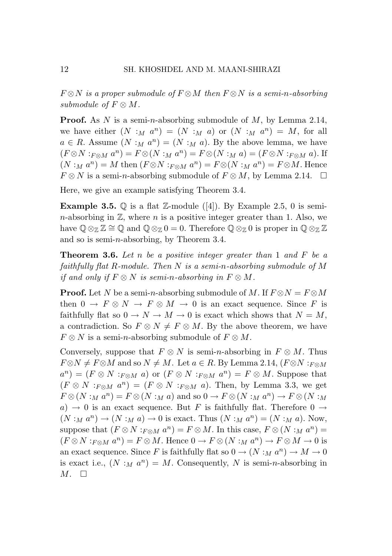*F ⊗N is a proper submodule of F ⊗M then F ⊗N is a semi-n-absorbing submodule of*  $F \otimes M$ *.* 

Proof. As *N* is a semi-*n*-absorbing submodule of *M*, by Lemma 2.14, we have either  $(N : M a^n) = (N : M a)$  or  $(N : M a^n) = M$ , for all  $a \in R$ . Assume  $(N : M a^n) = (N : M a)$ . By the above lemma, we have  $(F \otimes N :_{F \otimes M} a^n) = F \otimes (N :_M a^n) = F \otimes (N :_M a) = (F \otimes N :_{F \otimes M} a)$ . If  $(N : M a^n) = M$  then  $(F \otimes N : F \otimes M a^n) = F \otimes (N : M a^n) = F \otimes M$ . Hence  $F \otimes N$  is a semi-*n*-absorbing submodule of  $F \otimes M$ , by Lemma 2.14.  $\Box$ 

Here, we give an example satisfying Theorem 3.4.

**Example 3.5.**  $\mathbb Q$  is a flat  $\mathbb Z$ -module ([4]). By Example 2.5, 0 is semi*n*-absorbing in  $\mathbb{Z}$ , where *n* is a positive integer greater than 1. Also, we have  $\mathbb{Q} \otimes_{\mathbb{Z}} \mathbb{Z} \cong \mathbb{Q}$  and  $\mathbb{Q} \otimes_{\mathbb{Z}} 0 = 0$ . Therefore  $\mathbb{Q} \otimes_{\mathbb{Z}} 0$  is proper in  $\mathbb{Q} \otimes_{\mathbb{Z}} \mathbb{Z}$ and so is semi-*n*-absorbing, by Theorem 3.4.

Theorem 3.6. *Let n be a positive integer greater than* 1 *and F be a faithfully flat R-module. Then N is a semi-n-absorbing submodule of M if and only if*  $F \otimes N$  *is semi-n-absorbing in*  $F \otimes M$ *.* 

**Proof.** Let *N* be a semi-*n*-absorbing submodule of *M*. If  $F \otimes N = F \otimes M$ then  $0 \to F \otimes N \to F \otimes M \to 0$  is an exact sequence. Since F is faithfully flat so  $0 \to N \to M \to 0$  is exact which shows that  $N = M$ , a contradiction. So  $F \otimes N \neq F \otimes M$ . By the above theorem, we have  $F \otimes N$  is a semi-*n*-absorbing submodule of  $F \otimes M$ .

Conversely, suppose that  $F \otimes N$  is semi-*n*-absorbing in  $F \otimes M$ . Thus  $F \otimes N \neq F \otimes M$  and so  $N \neq M$ . Let  $a \in R$ . By Lemma 2.14,  $(F \otimes N : F \otimes M)$  $a^n$ ) = ( $F \otimes N$  : $F \otimes M$  *a*) or ( $F \otimes N$  : $F \otimes M$  *a*<sup>*n*</sup>) =  $F \otimes M$ . Suppose that  $(F \otimes N : F \otimes M \cdot a^n) = (F \otimes N : F \otimes M \cdot a)$ . Then, by Lemma 3.3, we get  $F \otimes (N : M a^n) = F \otimes (N : M a)$  and so  $0 \to F \otimes (N : M a^n) \to F \otimes (N : M a)$  $a) \rightarrow 0$  is an exact sequence. But *F* is faithfully flat. Therefore  $0 \rightarrow$  $(N:_{M} a^{n}) \rightarrow (N:_{M} a) \rightarrow 0$  is exact. Thus  $(N:_{M} a^{n}) = (N:_{M} a)$ . Now, suppose that  $(F \otimes N : F \otimes M$  *a*<sup>*n*</sup>) =  $F \otimes M$ . In this case,  $F \otimes (N : M a^n)$  =  $(F \otimes N : F \otimes M \otimes T) = F \otimes M$ . Hence  $0 \to F \otimes (N : M \otimes T) \to F \otimes M \to 0$  is an exact sequence. Since *F* is faithfully flat so  $0 \rightarrow (N :_M a^n) \rightarrow M \rightarrow 0$ is exact i.e.,  $(N :_M a^n) = M$ . Consequently, N is semi-*n*-absorbing in  $M. \square$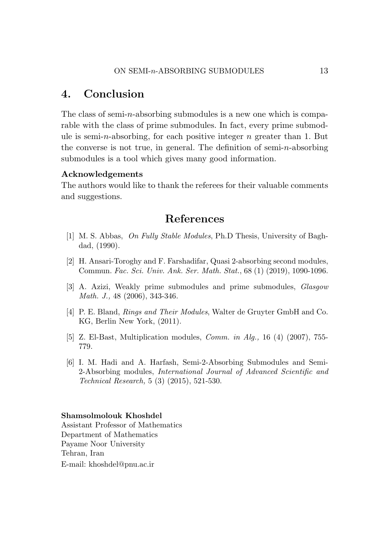## 4. Conclusion

The class of semi-*n*-absorbing submodules is a new one which is comparable with the class of prime submodules. In fact, every prime submodule is semi-*n*-absorbing, for each positive integer *n* greater than 1. But the converse is not true, in general. The definition of semi-*n*-absorbing submodules is a tool which gives many good information.

#### Acknowledgements

The authors would like to thank the referees for their valuable comments and suggestions.

## References

- [1] M. S. Abbas, *On Fully Stable Modules*, Ph.D Thesis, University of Baghdad, (1990).
- [2] H. Ansari-Toroghy and F. Farshadifar, Quasi 2-absorbing second modules, Commun. *Fac. Sci. Univ. Ank. Ser. Math. Stat.*, 68 (1) (2019), 1090-1096.
- [3] A. Azizi, Weakly prime submodules and prime submodules, *Glasgow Math. J.,* 48 (2006), 343-346.
- [4] P. E. Bland, *Rings and Their Modules*, Walter de Gruyter GmbH and Co. KG, Berlin New York, (2011).
- [5] Z. El-Bast, Multiplication modules, *Comm. in Alg.,* 16 (4) (2007), 755- 779.
- [6] I. M. Hadi and A. Harfash, Semi-2-Absorbing Submodules and Semi-2-Absorbing modules, *International Journal of Advanced Scientific and Technical Research,* 5 (3) (2015), 521-530.

#### Shamsolmolouk Khoshdel

Assistant Professor of Mathematics Department of Mathematics Payame Noor University Tehran, Iran E-mail: khoshdel@pnu.ac.ir